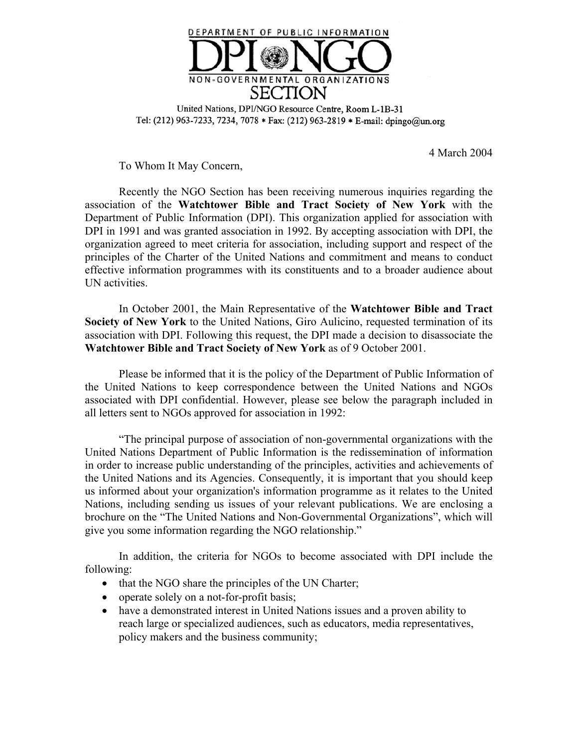

United Nations, DPI/NGO Resource Centre, Room L-1B-31 Tel: (212) 963-7233, 7234, 7078 \* Fax: (212) 963-2819 \* E-mail: dpingo@un.org

4 March 2004

To Whom It May Concern,

Recently the NGO Section has been receiving numerous inquiries regarding the association of the **Watchtower Bible and Tract Society of New York** with the Department of Public Information (DPI). This organization applied for association with DPI in 1991 and was granted association in 1992. By accepting association with DPI, the organization agreed to meet criteria for association, including support and respect of the principles of the Charter of the United Nations and commitment and means to conduct effective information programmes with its constituents and to a broader audience about UN activities.

In October 2001, the Main Representative of the **Watchtower Bible and Tract Society of New York** to the United Nations, Giro Aulicino, requested termination of its association with DPI. Following this request, the DPI made a decision to disassociate the **Watchtower Bible and Tract Society of New York** as of 9 October 2001.

Please be informed that it is the policy of the Department of Public Information of the United Nations to keep correspondence between the United Nations and NGOs associated with DPI confidential. However, please see below the paragraph included in all letters sent to NGOs approved for association in 1992:

UThe principal purpose of association of non-governmental organizations with the United Nations Department of Public Information is the redissemination of information in order to increase public understanding of the principles, activities and achievements of the United Nations and its Agencies. Consequently, it is important that you should keep us informed about your organization's information programme as it relates to the United Nations, including sending us issues of your relevant publications. We are enclosing a brochure on the "The United Nations and Non-Governmental Organizations", which will give you some information regarding the NGO relationship."

In addition, the criteria for NGOs to become associated with DPI include the following:

- $\bullet$  that the NGO share the principles of the UN Charter;
- operate solely on a not-for-profit basis;
- have a demonstrated interest in United Nations issues and a proven ability to reach large or specialized audiences, such as educators, media representatives, policy makers and the business community;